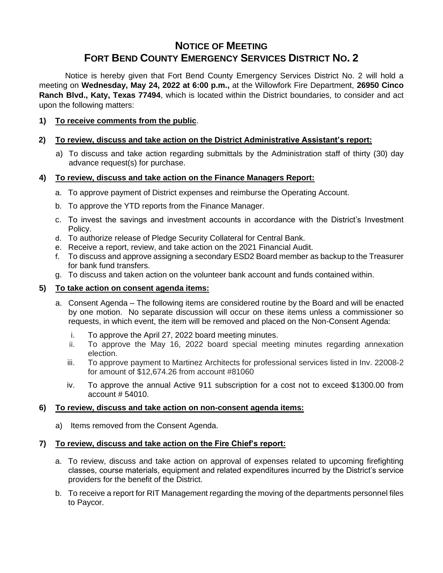# **NOTICE OF MEETING FORT BEND COUNTY EMERGENCY SERVICES DISTRICT NO. 2**

Notice is hereby given that Fort Bend County Emergency Services District No. 2 will hold a meeting on **Wednesday, May 24, 2022 at 6:00 p.m.,** at the Willowfork Fire Department, **26950 Cinco Ranch Blvd., Katy, Texas 77494**, which is located within the District boundaries, to consider and act upon the following matters:

### **1) To receive comments from the public**.

### **2) To review, discuss and take action on the District Administrative Assistant's report:**

a) To discuss and take action regarding submittals by the Administration staff of thirty (30) day advance request(s) for purchase.

#### **4) To review, discuss and take action on the Finance Managers Report:**

- a. To approve payment of District expenses and reimburse the Operating Account.
- b. To approve the YTD reports from the Finance Manager.
- c. To invest the savings and investment accounts in accordance with the District's Investment Policy.
- d. To authorize release of Pledge Security Collateral for Central Bank.
- e. Receive a report, review, and take action on the 2021 Financial Audit.
- f. To discuss and approve assigning a secondary ESD2 Board member as backup to the Treasurer for bank fund transfers.
- g. To discuss and taken action on the volunteer bank account and funds contained within.

#### **5) To take action on consent agenda items:**

- a. Consent Agenda The following items are considered routine by the Board and will be enacted by one motion. No separate discussion will occur on these items unless a commissioner so requests, in which event, the item will be removed and placed on the Non-Consent Agenda:
	- i. To approve the April 27, 2022 board meeting minutes.
	- ii. To approve the May 16, 2022 board special meeting minutes regarding annexation election.
	- iii. To approve payment to Martinez Architects for professional services listed in Inv. 22008-2 for amount of \$12,674.26 from account #81060
	- iv. To approve the annual Active 911 subscription for a cost not to exceed \$1300.00 from account # 54010.

#### **6) To review, discuss and take action on non-consent agenda items:**

a) Items removed from the Consent Agenda.

#### **7) To review, discuss and take action on the Fire Chief's report:**

- a. To review, discuss and take action on approval of expenses related to upcoming firefighting classes, course materials, equipment and related expenditures incurred by the District's service providers for the benefit of the District.
- b. To receive a report for RIT Management regarding the moving of the departments personnel files to Paycor.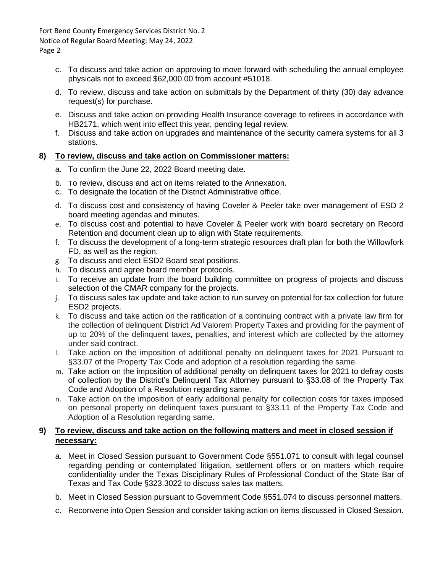Fort Bend County Emergency Services District No. 2 Notice of Regular Board Meeting: May 24, 2022 Page 2

- c. To discuss and take action on approving to move forward with scheduling the annual employee physicals not to exceed \$62,000.00 from account #51018.
- d. To review, discuss and take action on submittals by the Department of thirty (30) day advance request(s) for purchase.
- e. Discuss and take action on providing Health Insurance coverage to retirees in accordance with HB2171, which went into effect this year, pending legal review.
- f. Discuss and take action on upgrades and maintenance of the security camera systems for all 3 stations.

## **8) To review, discuss and take action on Commissioner matters:**

- a. To confirm the June 22, 2022 Board meeting date.
- b. To review, discuss and act on items related to the Annexation.
- c. To designate the location of the District Administrative office.
- d. To discuss cost and consistency of having Coveler & Peeler take over management of ESD 2 board meeting agendas and minutes.
- e. To discuss cost and potential to have Coveler & Peeler work with board secretary on Record Retention and document clean up to align with State requirements.
- f. To discuss the development of a long-term strategic resources draft plan for both the Willowfork FD, as well as the region.
- g. To discuss and elect ESD2 Board seat positions.
- h. To discuss and agree board member protocols.
- i. To receive an update from the board building committee on progress of projects and discuss selection of the CMAR company for the projects.
- j. To discuss sales tax update and take action to run survey on potential for tax collection for future ESD2 projects.
- k. To discuss and take action on the ratification of a continuing contract with a private law firm for the collection of delinquent District Ad Valorem Property Taxes and providing for the payment of up to 20% of the delinquent taxes, penalties, and interest which are collected by the attorney under said contract.
- l. Take action on the imposition of additional penalty on delinquent taxes for 2021 Pursuant to §33.07 of the Property Tax Code and adoption of a resolution regarding the same.
- m. Take action on the imposition of additional penalty on delinquent taxes for 2021 to defray costs of collection by the District's Delinquent Tax Attorney pursuant to §33.08 of the Property Tax Code and Adoption of a Resolution regarding same.
- n. Take action on the imposition of early additional penalty for collection costs for taxes imposed on personal property on delinquent taxes pursuant to §33.11 of the Property Tax Code and Adoption of a Resolution regarding same.

## **9) To review, discuss and take action on the following matters and meet in closed session if necessary:**

- a. Meet in Closed Session pursuant to Government Code §551.071 to consult with legal counsel regarding pending or contemplated litigation, settlement offers or on matters which require confidentiality under the Texas Disciplinary Rules of Professional Conduct of the State Bar of Texas and Tax Code §323.3022 to discuss sales tax matters.
- b. Meet in Closed Session pursuant to Government Code §551.074 to discuss personnel matters.
- c. Reconvene into Open Session and consider taking action on items discussed in Closed Session.